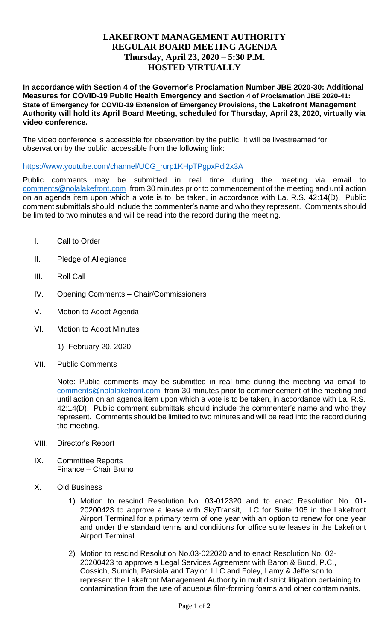## **LAKEFRONT MANAGEMENT AUTHORITY REGULAR BOARD MEETING AGENDA Thursday, April 23, 2020 – 5:30 P.M. HOSTED VIRTUALLY**

**In accordance with Section 4 of the Governor's Proclamation Number JBE 2020-30: Additional Measures for COVID-19 Public Health Emergency and Section 4 of Proclamation JBE 2020-41: State of Emergency for COVID-19 Extension of Emergency Provisions, the Lakefront Management Authority will hold its April Board Meeting, scheduled for Thursday, April 23, 2020, virtually via video conference.** 

The video conference is accessible for observation by the public. It will be livestreamed for observation by the public, accessible from the following link:

[https://www.youtube.com/channel/UCG\\_rurp1KHpTPgpxPdi2x3A](https://www.youtube.com/channel/UCG_rurp1KHpTPgpxPdi2x3A)

Public comments may be submitted in real time during the meeting via email to [comments@nolalakefront.com](mailto:comments@nolalakefront.com) from 30 minutes prior to commencement of the meeting and until action on an agenda item upon which a vote is to be taken, in accordance with La. R.S. 42:14(D). Public comment submittals should include the commenter's name and who they represent. Comments should be limited to two minutes and will be read into the record during the meeting.

- I. Call to Order
- II. Pledge of Allegiance
- III. Roll Call
- IV. Opening Comments Chair/Commissioners
- V. Motion to Adopt Agenda
- VI. Motion to Adopt Minutes
	- 1) February 20, 2020
- VII. Public Comments

Note: Public comments may be submitted in real time during the meeting via email to [comments@nolalakefront.com](mailto:comments@nolalakefront.com) from 30 minutes prior to commencement of the meeting and until action on an agenda item upon which a vote is to be taken, in accordance with La. R.S. 42:14(D). Public comment submittals should include the commenter's name and who they represent. Comments should be limited to two minutes and will be read into the record during the meeting.

- VIII. Director's Report
- IX. Committee Reports Finance – Chair Bruno
- X. Old Business
	- 1) Motion to rescind Resolution No. 03-012320 and to enact Resolution No. 01- 20200423 to approve a lease with SkyTransit, LLC for Suite 105 in the Lakefront Airport Terminal for a primary term of one year with an option to renew for one year and under the standard terms and conditions for office suite leases in the Lakefront Airport Terminal.
	- 2) Motion to rescind Resolution No.03-022020 and to enact Resolution No. 02- 20200423 to approve a Legal Services Agreement with Baron & Budd, P.C., Cossich, Sumich, Parsiola and Taylor, LLC and Foley, Lamy & Jefferson to represent the Lakefront Management Authority in multidistrict litigation pertaining to contamination from the use of aqueous film-forming foams and other contaminants.